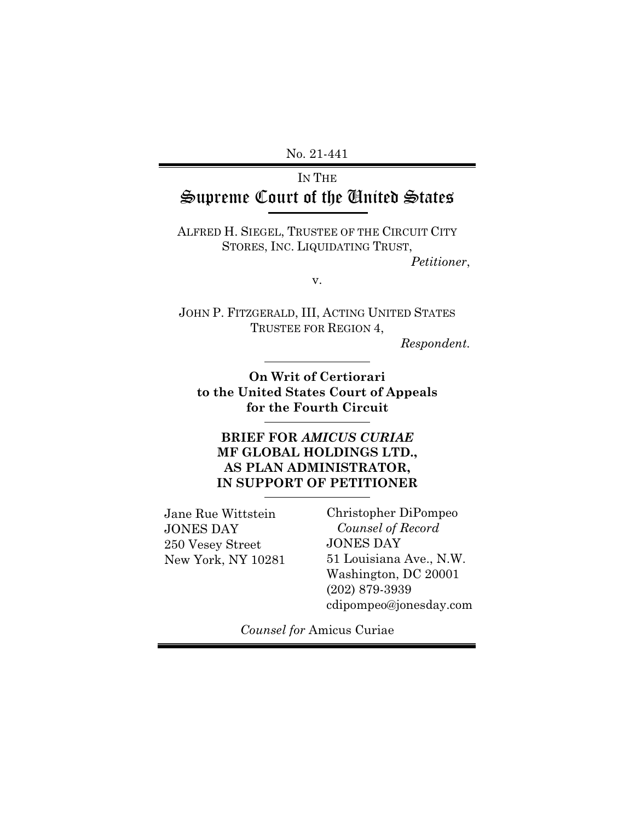No. 21-441

### IN THE Supreme Court of the United States

ALFRED H. SIEGEL, TRUSTEE OF THE CIRCUIT CITY STORES, INC. LIQUIDATING TRUST,

*Petitioner*,

v.

JOHN P. FITZGERALD, III, ACTING UNITED STATES TRUSTEE FOR REGION 4,

*Respondent.* 

**On Writ of Certiorari to the United States Court of Appeals for the Fourth Circuit** 

**BRIEF FOR** *AMICUS CURIAE* **MF GLOBAL HOLDINGS LTD., AS PLAN ADMINISTRATOR, IN SUPPORT OF PETITIONER**

Jane Rue Wittstein JONES DAY 250 Vesey Street New York, NY 10281 Christopher DiPompeo *Counsel of Record*  JONES DAY 51 Louisiana Ave., N.W. Washington, DC 20001 (202) 879-3939 cdipompeo@jonesday.com

*Counsel for* Amicus Curiae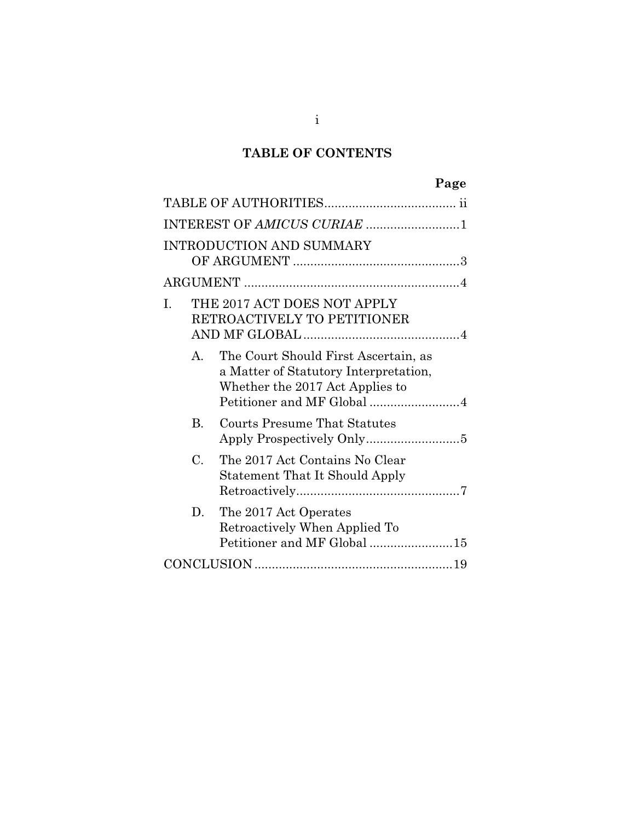### **TABLE OF CONTENTS**

|                 | Page                                                                                                                                           |
|-----------------|------------------------------------------------------------------------------------------------------------------------------------------------|
|                 |                                                                                                                                                |
|                 | INTEREST OF AMICUS CURIAE 1                                                                                                                    |
|                 | <b>INTRODUCTION AND SUMMARY</b>                                                                                                                |
|                 |                                                                                                                                                |
| I.              | THE 2017 ACT DOES NOT APPLY<br>RETROACTIVELY TO PETITIONER                                                                                     |
| $\mathsf{A}$ .  | The Court Should First Ascertain, as<br>a Matter of Statutory Interpretation,<br>Whether the 2017 Act Applies to<br>Petitioner and MF Global 4 |
| B.              | Courts Presume That Statutes                                                                                                                   |
| $\mathcal{C}$ . | The 2017 Act Contains No Clear<br><b>Statement That It Should Apply</b>                                                                        |
| D.              | The 2017 Act Operates<br>Retroactively When Applied To<br>Petitioner and MF Global 15                                                          |
|                 |                                                                                                                                                |

i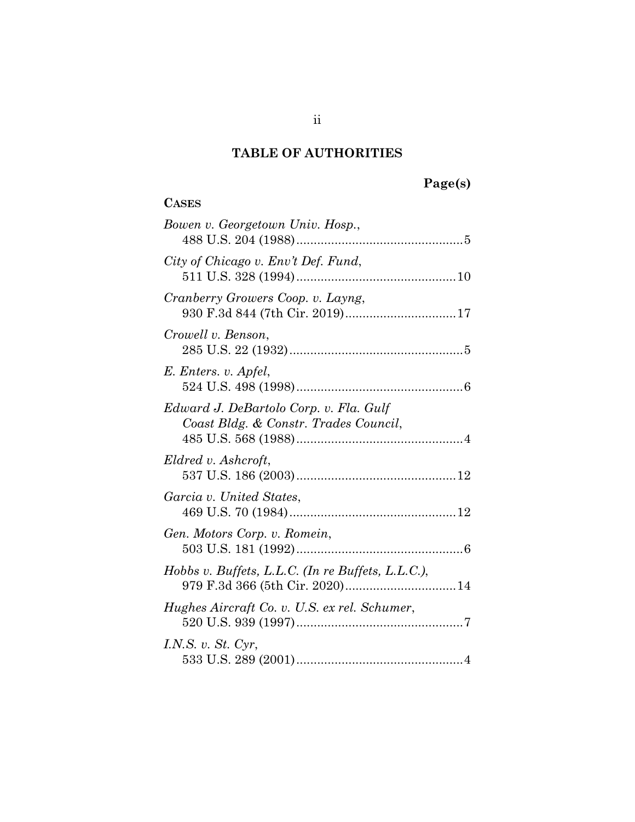### **TABLE OF AUTHORITIES**

**CASES**

## **Page(s)**

| Bowen v. Georgetown Univ. Hosp.,                                                |
|---------------------------------------------------------------------------------|
| City of Chicago v. Env't Def. Fund,                                             |
| Cranberry Growers Coop. v. Layng,<br>930 F.3d 844 (7th Cir. 2019)17             |
| Crowell v. Benson,                                                              |
| E. Enters. v. Apfel,                                                            |
| Edward J. DeBartolo Corp. v. Fla. Gulf<br>Coast Bldg. & Constr. Trades Council, |
| Eldred v. Ashcroft,                                                             |
| Garcia v. United States,                                                        |
| Gen. Motors Corp. v. Romein,                                                    |
| Hobbs v. Buffets, L.L.C. (In re Buffets, L.L.C.),                               |
| Hughes Aircraft Co. v. U.S. ex rel. Schumer,                                    |
| I.N.S. v. $St. Cyr$ ,                                                           |

ii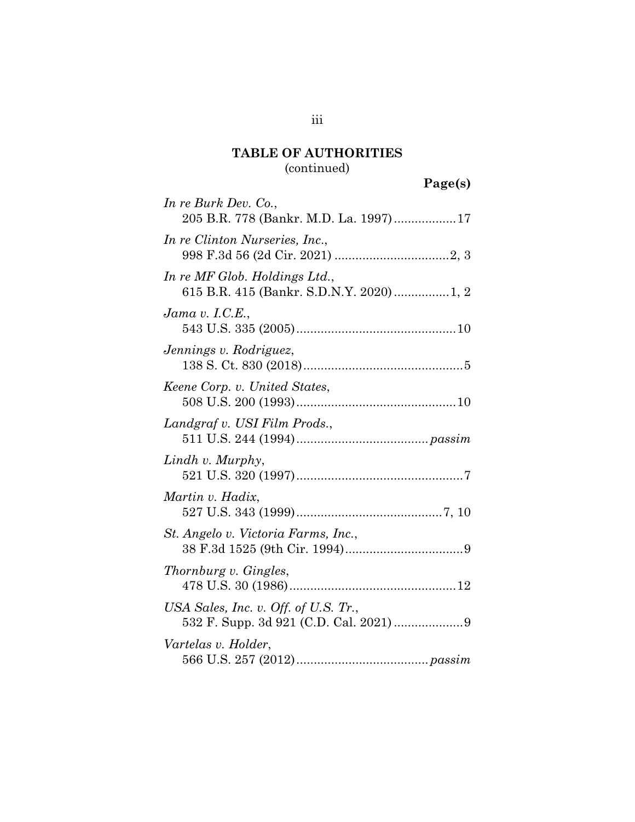### **TABLE OF AUTHORITIES**

### (continued)

| Page(s) |
|---------|
|---------|

| In re Burk Dev. Co.,<br>205 B.R. 778 (Bankr. M.D. La. 1997)17             |
|---------------------------------------------------------------------------|
| In re Clinton Nurseries, Inc.,                                            |
| In re MF Glob. Holdings Ltd.,<br>615 B.R. 415 (Bankr. S.D.N.Y. 2020) 1, 2 |
| Jama v. I.C.E.,                                                           |
| Jennings v. Rodriguez,                                                    |
| Keene Corp. v. United States,                                             |
| Landgraf v. USI Film Prods.,                                              |
| Lindh v. Murphy,                                                          |
| Martin v. Hadix,                                                          |
| St. Angelo v. Victoria Farms, Inc.,                                       |
| Thornburg v. Gingles,                                                     |
| USA Sales, Inc. v. Off. of U.S. $Tr$ .                                    |
| Vartelas v. Holder,                                                       |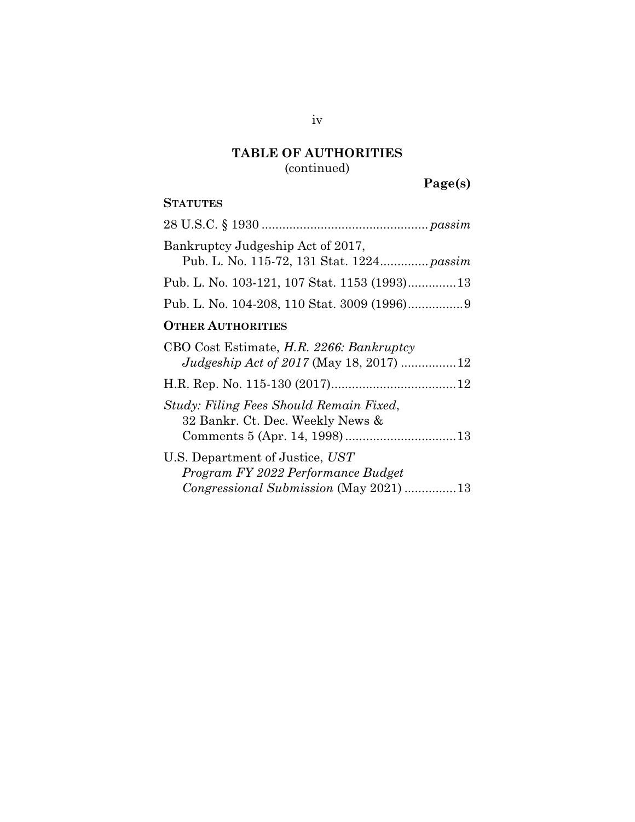# **TABLE OF AUTHORITIES**

(continued)

**Page(s)** 

### **STATUTES**

| Bankruptcy Judgeship Act of 2017,         |
|-------------------------------------------|
| Pub. L. No. 115-72, 131 Stat. 1224 passim |
|                                           |
|                                           |
| $\Omega$ munn Armusanimus                 |

#### **OTHER AUTHORITIES**

| CBO Cost Estimate, H.R. 2266: Bankruptcy<br>Judgeship Act of 2017 (May 18, 2017) 12                             |
|-----------------------------------------------------------------------------------------------------------------|
|                                                                                                                 |
| Study: Filing Fees Should Remain Fixed,<br>32 Bankr. Ct. Dec. Weekly News &                                     |
| U.S. Department of Justice, UST<br>Program FY 2022 Performance Budget<br>Congressional Submission (May 2021) 13 |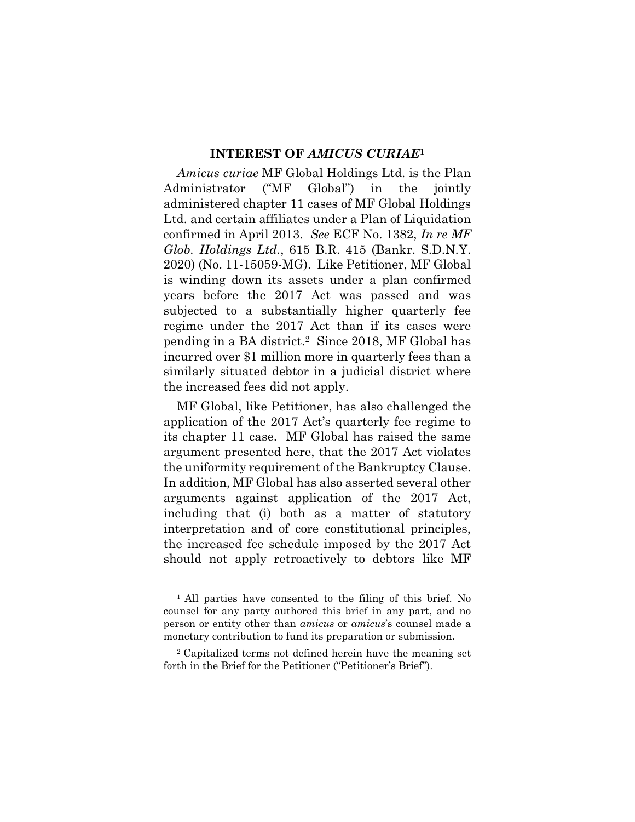#### **INTEREST OF** *AMICUS CURIAE***<sup>1</sup>**

*Amicus curiae* MF Global Holdings Ltd. is the Plan Administrator ("MF Global") in the jointly administered chapter 11 cases of MF Global Holdings Ltd. and certain affiliates under a Plan of Liquidation confirmed in April 2013. *See* ECF No. 1382, *In re MF Glob. Holdings Ltd.*, 615 B.R. 415 (Bankr. S.D.N.Y. 2020) (No. 11-15059-MG). Like Petitioner, MF Global is winding down its assets under a plan confirmed years before the 2017 Act was passed and was subjected to a substantially higher quarterly fee regime under the 2017 Act than if its cases were pending in a BA district.2 Since 2018, MF Global has incurred over \$1 million more in quarterly fees than a similarly situated debtor in a judicial district where the increased fees did not apply.

MF Global, like Petitioner, has also challenged the application of the 2017 Act's quarterly fee regime to its chapter 11 case. MF Global has raised the same argument presented here, that the 2017 Act violates the uniformity requirement of the Bankruptcy Clause. In addition, MF Global has also asserted several other arguments against application of the 2017 Act, including that (i) both as a matter of statutory interpretation and of core constitutional principles, the increased fee schedule imposed by the 2017 Act should not apply retroactively to debtors like MF

<sup>1</sup> All parties have consented to the filing of this brief. No counsel for any party authored this brief in any part, and no person or entity other than *amicus* or *amicus*'s counsel made a monetary contribution to fund its preparation or submission.

<sup>2</sup> Capitalized terms not defined herein have the meaning set forth in the Brief for the Petitioner ("Petitioner's Brief").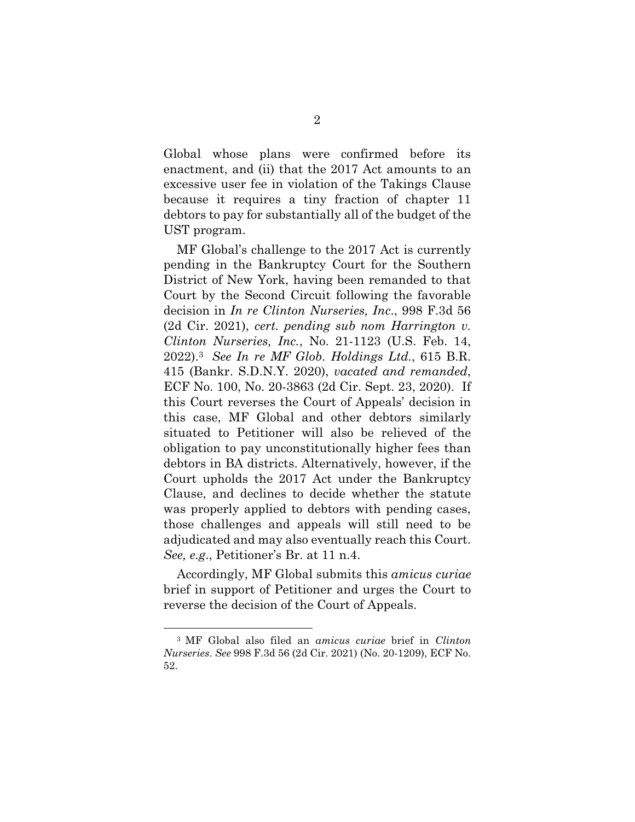Global whose plans were confirmed before its enactment, and (ii) that the 2017 Act amounts to an excessive user fee in violation of the Takings Clause because it requires a tiny fraction of chapter 11 debtors to pay for substantially all of the budget of the UST program.

MF Global's challenge to the 2017 Act is currently pending in the Bankruptcy Court for the Southern District of New York, having been remanded to that Court by the Second Circuit following the favorable decision in *In re Clinton Nurseries, Inc*., 998 F.3d 56 (2d Cir. 2021), *cert. pending sub nom Harrington v. Clinton Nurseries, Inc.*, No. 21-1123 (U.S. Feb. 14, 2022).3 *See In re MF Glob. Holdings Ltd.*, 615 B.R. 415 (Bankr. S.D.N.Y. 2020), *vacated and remanded*, ECF No. 100, No. 20-3863 (2d Cir. Sept. 23, 2020). If this Court reverses the Court of Appeals' decision in this case, MF Global and other debtors similarly situated to Petitioner will also be relieved of the obligation to pay unconstitutionally higher fees than debtors in BA districts. Alternatively, however, if the Court upholds the 2017 Act under the Bankruptcy Clause, and declines to decide whether the statute was properly applied to debtors with pending cases, those challenges and appeals will still need to be adjudicated and may also eventually reach this Court. *See, e.g*., Petitioner's Br. at 11 n.4.

Accordingly, MF Global submits this *amicus curiae* brief in support of Petitioner and urges the Court to reverse the decision of the Court of Appeals.

<sup>3</sup> MF Global also filed an *amicus curiae* brief in *Clinton Nurseries*. *See* 998 F.3d 56 (2d Cir. 2021) (No. 20-1209), ECF No. 52.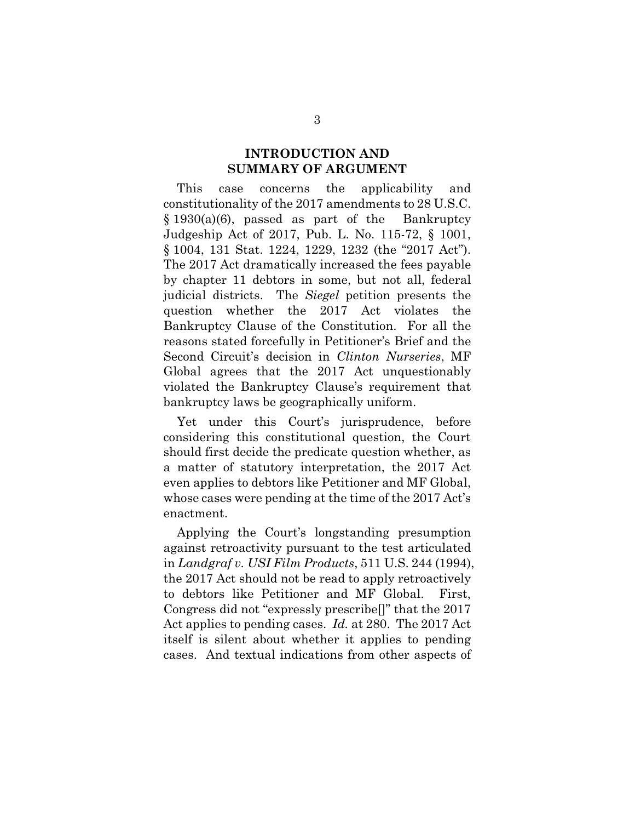#### **INTRODUCTION AND SUMMARY OF ARGUMENT**

This case concerns the applicability and constitutionality of the 2017 amendments to 28 U.S.C. § 1930(a)(6), passed as part of the Bankruptcy Judgeship Act of 2017, Pub. L. No. 115-72, § 1001, § 1004, 131 Stat. 1224, 1229, 1232 (the "2017 Act"). The 2017 Act dramatically increased the fees payable by chapter 11 debtors in some, but not all, federal judicial districts. The *Siegel* petition presents the question whether the 2017 Act violates the Bankruptcy Clause of the Constitution. For all the reasons stated forcefully in Petitioner's Brief and the Second Circuit's decision in *Clinton Nurseries*, MF Global agrees that the 2017 Act unquestionably violated the Bankruptcy Clause's requirement that bankruptcy laws be geographically uniform.

Yet under this Court's jurisprudence, before considering this constitutional question, the Court should first decide the predicate question whether, as a matter of statutory interpretation, the 2017 Act even applies to debtors like Petitioner and MF Global, whose cases were pending at the time of the 2017 Act's enactment.

Applying the Court's longstanding presumption against retroactivity pursuant to the test articulated in *Landgraf v. USI Film Products*, 511 U.S. 244 (1994), the 2017 Act should not be read to apply retroactively to debtors like Petitioner and MF Global. First, Congress did not "expressly prescribe[]" that the 2017 Act applies to pending cases. *Id.* at 280. The 2017 Act itself is silent about whether it applies to pending cases. And textual indications from other aspects of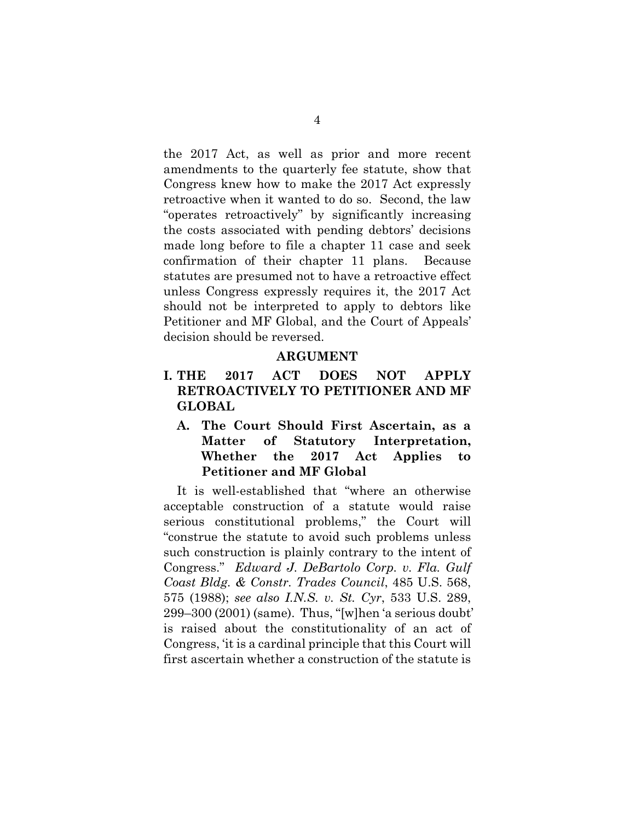the 2017 Act, as well as prior and more recent amendments to the quarterly fee statute, show that Congress knew how to make the 2017 Act expressly retroactive when it wanted to do so. Second, the law "operates retroactively" by significantly increasing the costs associated with pending debtors' decisions made long before to file a chapter 11 case and seek confirmation of their chapter 11 plans. Because statutes are presumed not to have a retroactive effect unless Congress expressly requires it, the 2017 Act should not be interpreted to apply to debtors like Petitioner and MF Global, and the Court of Appeals' decision should be reversed.

#### **ARGUMENT**

- **I. THE 2017 ACT DOES NOT APPLY RETROACTIVELY TO PETITIONER AND MF GLOBAL** 
	- **A. The Court Should First Ascertain, as a Matter of Statutory Interpretation, Whether the 2017 Act Applies to Petitioner and MF Global**

It is well-established that "where an otherwise acceptable construction of a statute would raise serious constitutional problems," the Court will "construe the statute to avoid such problems unless such construction is plainly contrary to the intent of Congress." *Edward J. DeBartolo Corp. v. Fla. Gulf Coast Bldg. & Constr. Trades Council*, 485 U.S. 568, 575 (1988); *see also I.N.S. v. St. Cyr*, 533 U.S. 289, 299–300 (2001) (same). Thus, "[w]hen 'a serious doubt' is raised about the constitutionality of an act of Congress, 'it is a cardinal principle that this Court will first ascertain whether a construction of the statute is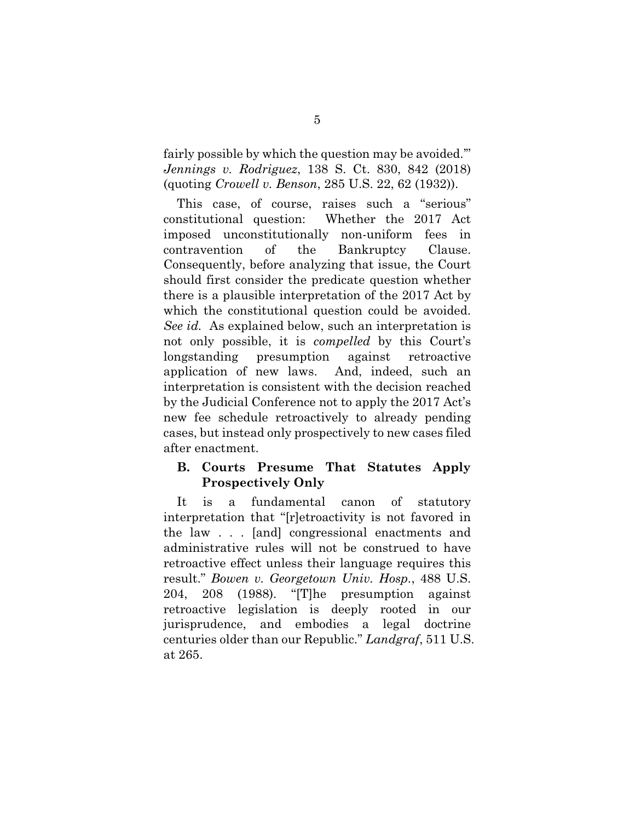fairly possible by which the question may be avoided.'" *Jennings v. Rodriguez*, 138 S. Ct. 830, 842 (2018) (quoting *Crowell v. Benson*, 285 U.S. 22, 62 (1932)).

This case, of course, raises such a "serious" constitutional question: Whether the 2017 Act imposed unconstitutionally non-uniform fees in contravention of the Bankruptcy Clause. Consequently, before analyzing that issue, the Court should first consider the predicate question whether there is a plausible interpretation of the 2017 Act by which the constitutional question could be avoided. *See id.* As explained below, such an interpretation is not only possible, it is *compelled* by this Court's longstanding presumption against retroactive application of new laws. And, indeed, such an interpretation is consistent with the decision reached by the Judicial Conference not to apply the 2017 Act's new fee schedule retroactively to already pending cases, but instead only prospectively to new cases filed after enactment.

#### **B. Courts Presume That Statutes Apply Prospectively Only**

It is a fundamental canon of statutory interpretation that "[r]etroactivity is not favored in the law . . . [and] congressional enactments and administrative rules will not be construed to have retroactive effect unless their language requires this result." *Bowen v. Georgetown Univ. Hosp.*, 488 U.S. 204, 208 (1988). "[T]he presumption against retroactive legislation is deeply rooted in our jurisprudence, and embodies a legal doctrine centuries older than our Republic." *Landgraf*, 511 U.S. at 265.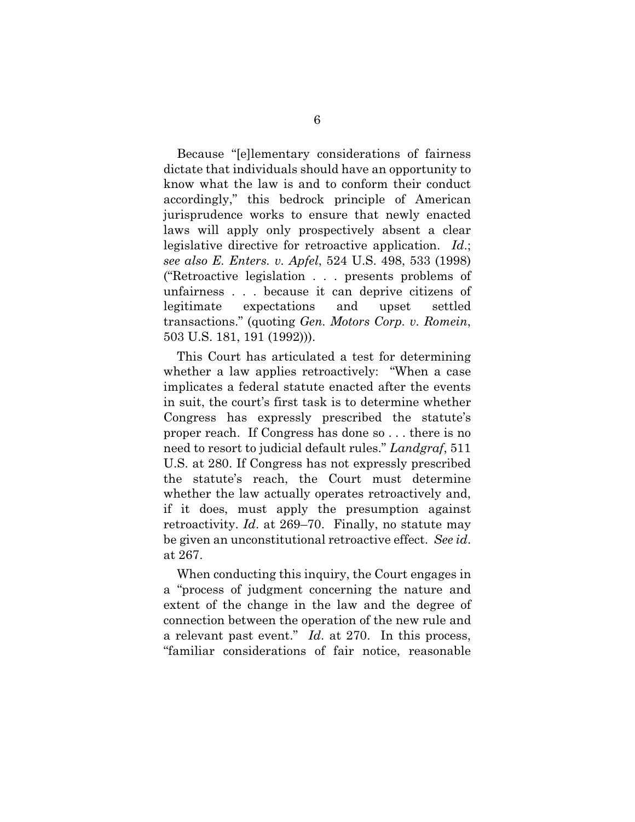Because "[e]lementary considerations of fairness dictate that individuals should have an opportunity to know what the law is and to conform their conduct accordingly," this bedrock principle of American jurisprudence works to ensure that newly enacted laws will apply only prospectively absent a clear legislative directive for retroactive application. *Id*.; *see also E. Enters. v. Apfel*, 524 U.S. 498, 533 (1998) ("Retroactive legislation . . . presents problems of unfairness . . . because it can deprive citizens of legitimate expectations and upset settled transactions." (quoting *Gen. Motors Corp. v. Romein*, 503 U.S. 181, 191 (1992))).

This Court has articulated a test for determining whether a law applies retroactively: "When a case implicates a federal statute enacted after the events in suit, the court's first task is to determine whether Congress has expressly prescribed the statute's proper reach. If Congress has done so . . . there is no need to resort to judicial default rules." *Landgraf*, 511 U.S. at 280. If Congress has not expressly prescribed the statute's reach, the Court must determine whether the law actually operates retroactively and, if it does, must apply the presumption against retroactivity. *Id*. at 269–70. Finally, no statute may be given an unconstitutional retroactive effect. *See id*. at 267.

When conducting this inquiry, the Court engages in a "process of judgment concerning the nature and extent of the change in the law and the degree of connection between the operation of the new rule and a relevant past event." *Id*. at 270. In this process, "familiar considerations of fair notice, reasonable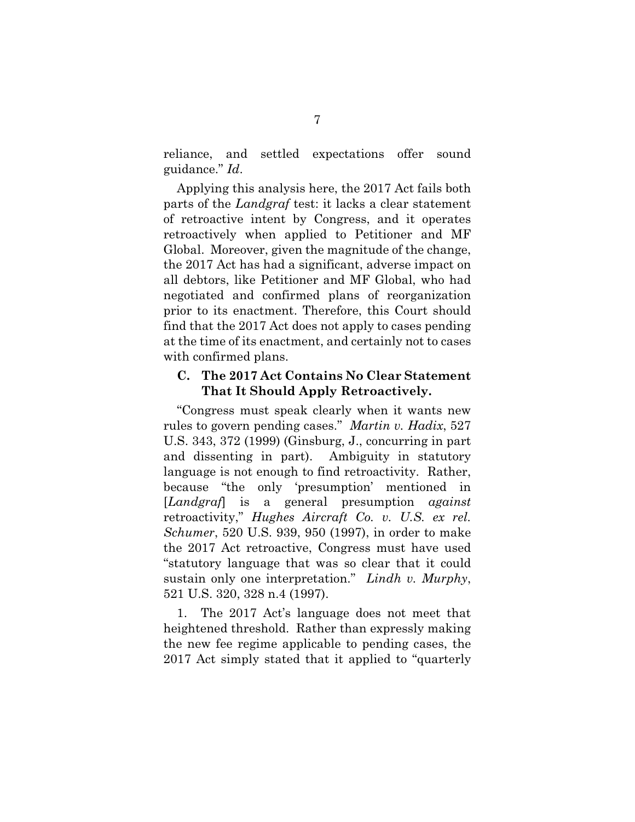reliance, and settled expectations offer sound guidance." *Id*.

Applying this analysis here, the 2017 Act fails both parts of the *Landgraf* test: it lacks a clear statement of retroactive intent by Congress, and it operates retroactively when applied to Petitioner and MF Global. Moreover, given the magnitude of the change, the 2017 Act has had a significant, adverse impact on all debtors, like Petitioner and MF Global, who had negotiated and confirmed plans of reorganization prior to its enactment. Therefore, this Court should find that the 2017 Act does not apply to cases pending at the time of its enactment, and certainly not to cases with confirmed plans.

#### **C. The 2017 Act Contains No Clear Statement That It Should Apply Retroactively.**

"Congress must speak clearly when it wants new rules to govern pending cases." *Martin v. Hadix*, 527 U.S. 343, 372 (1999) (Ginsburg, J., concurring in part and dissenting in part). Ambiguity in statutory language is not enough to find retroactivity. Rather, because "the only 'presumption' mentioned in [*Landgraf*] is a general presumption *against* retroactivity," *Hughes Aircraft Co. v. U.S. ex rel. Schumer*, 520 U.S. 939, 950 (1997), in order to make the 2017 Act retroactive, Congress must have used "statutory language that was so clear that it could sustain only one interpretation." *Lindh v. Murphy*, 521 U.S. 320, 328 n.4 (1997).

1. The 2017 Act's language does not meet that heightened threshold. Rather than expressly making the new fee regime applicable to pending cases, the 2017 Act simply stated that it applied to "quarterly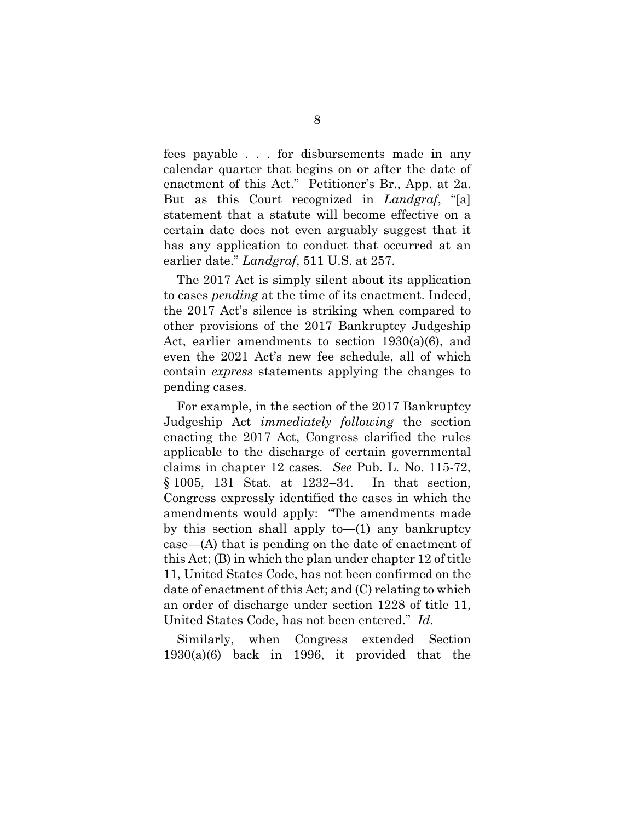fees payable . . . for disbursements made in any calendar quarter that begins on or after the date of enactment of this Act." Petitioner's Br., App. at 2a. But as this Court recognized in *Landgraf*, "[a] statement that a statute will become effective on a certain date does not even arguably suggest that it has any application to conduct that occurred at an earlier date." *Landgraf*, 511 U.S. at 257.

The 2017 Act is simply silent about its application to cases *pending* at the time of its enactment. Indeed, the 2017 Act's silence is striking when compared to other provisions of the 2017 Bankruptcy Judgeship Act, earlier amendments to section 1930(a)(6), and even the 2021 Act's new fee schedule, all of which contain *express* statements applying the changes to pending cases.

For example, in the section of the 2017 Bankruptcy Judgeship Act *immediately following* the section enacting the 2017 Act, Congress clarified the rules applicable to the discharge of certain governmental claims in chapter 12 cases. *See* Pub. L. No. 115-72, § 1005, 131 Stat. at 1232–34. In that section, Congress expressly identified the cases in which the amendments would apply: "The amendments made by this section shall apply to— $(1)$  any bankruptcy case—(A) that is pending on the date of enactment of this Act; (B) in which the plan under chapter 12 of title 11, United States Code, has not been confirmed on the date of enactment of this Act; and (C) relating to which an order of discharge under section 1228 of title 11, United States Code, has not been entered." *Id*.

Similarly, when Congress extended Section  $1930(a)(6)$  back in 1996, it provided that the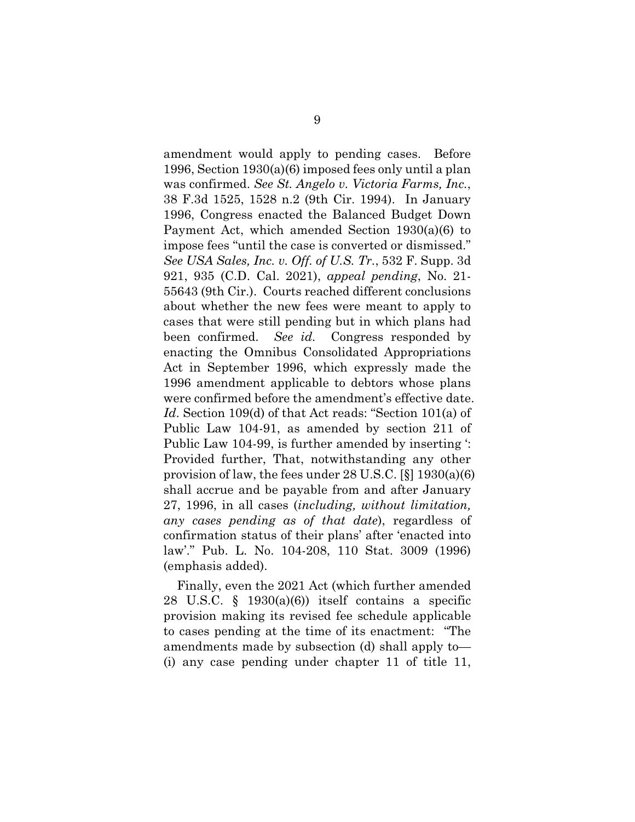amendment would apply to pending cases. Before 1996, Section 1930(a)(6) imposed fees only until a plan was confirmed. *See St. Angelo v. Victoria Farms, Inc.*, 38 F.3d 1525, 1528 n.2 (9th Cir. 1994). In January 1996, Congress enacted the Balanced Budget Down Payment Act, which amended Section 1930(a)(6) to impose fees "until the case is converted or dismissed." *See USA Sales, Inc. v. Off. of U.S. Tr.*, 532 F. Supp. 3d 921, 935 (C.D. Cal. 2021), *appeal pending*, No. 21- 55643 (9th Cir.). Courts reached different conclusions about whether the new fees were meant to apply to cases that were still pending but in which plans had been confirmed. *See id.* Congress responded by enacting the Omnibus Consolidated Appropriations Act in September 1996, which expressly made the 1996 amendment applicable to debtors whose plans were confirmed before the amendment's effective date. *Id*. Section 109(d) of that Act reads: "Section 101(a) of Public Law 104-91, as amended by section 211 of Public Law 104-99, is further amended by inserting ': Provided further, That, notwithstanding any other provision of law, the fees under 28 U.S.C. [§] 1930(a)(6) shall accrue and be payable from and after January 27, 1996, in all cases (*including, without limitation, any cases pending as of that date*), regardless of confirmation status of their plans' after 'enacted into law'." Pub. L. No. 104-208, 110 Stat. 3009 (1996) (emphasis added).

Finally, even the 2021 Act (which further amended 28 U.S.C.  $\S$  1930(a)(6)) itself contains a specific provision making its revised fee schedule applicable to cases pending at the time of its enactment: "The amendments made by subsection (d) shall apply to— (i) any case pending under chapter 11 of title 11,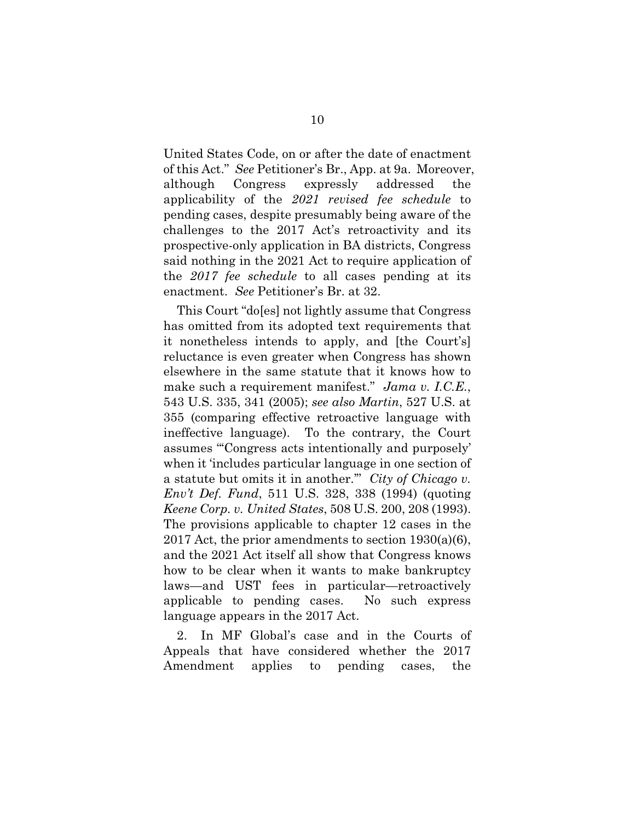United States Code, on or after the date of enactment of this Act." *See* Petitioner's Br., App. at 9a. Moreover, although Congress expressly addressed the applicability of the *2021 revised fee schedule* to pending cases, despite presumably being aware of the challenges to the 2017 Act's retroactivity and its prospective-only application in BA districts, Congress said nothing in the 2021 Act to require application of the *2017 fee schedule* to all cases pending at its enactment. *See* Petitioner's Br. at 32.

This Court "do[es] not lightly assume that Congress has omitted from its adopted text requirements that it nonetheless intends to apply, and [the Court's] reluctance is even greater when Congress has shown elsewhere in the same statute that it knows how to make such a requirement manifest." *Jama v. I.C.E.*, 543 U.S. 335, 341 (2005); *see also Martin*, 527 U.S. at 355 (comparing effective retroactive language with ineffective language). To the contrary, the Court assumes "'Congress acts intentionally and purposely' when it 'includes particular language in one section of a statute but omits it in another.'" *City of Chicago v. Env't Def. Fund*, 511 U.S. 328, 338 (1994) (quoting *Keene Corp. v. United States*, 508 U.S. 200, 208 (1993). The provisions applicable to chapter 12 cases in the 2017 Act, the prior amendments to section 1930(a)(6), and the 2021 Act itself all show that Congress knows how to be clear when it wants to make bankruptcy laws—and UST fees in particular—retroactively applicable to pending cases. No such express language appears in the 2017 Act.

2. In MF Global's case and in the Courts of Appeals that have considered whether the 2017 Amendment applies to pending cases, the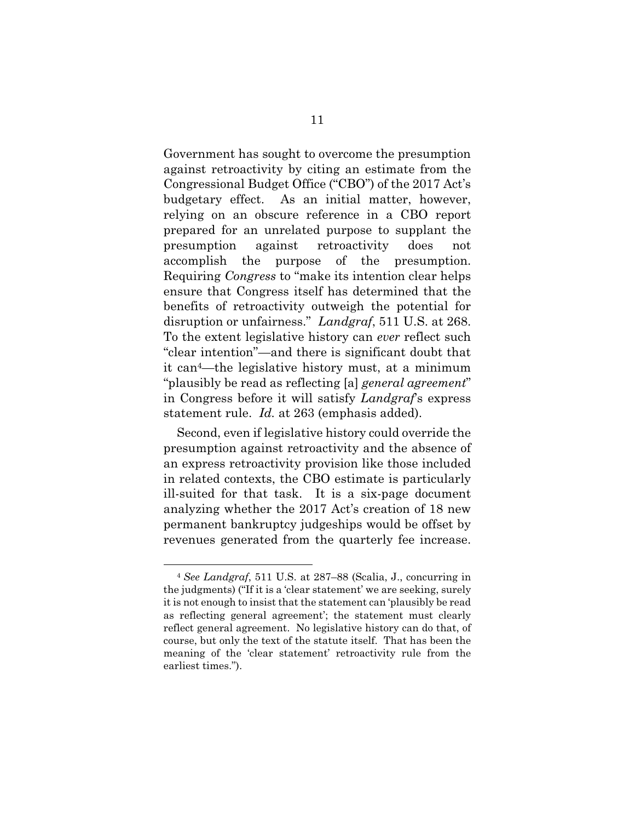Government has sought to overcome the presumption against retroactivity by citing an estimate from the Congressional Budget Office ("CBO") of the 2017 Act's budgetary effect. As an initial matter, however, relying on an obscure reference in a CBO report prepared for an unrelated purpose to supplant the presumption against retroactivity does not accomplish the purpose of the presumption. Requiring *Congress* to "make its intention clear helps ensure that Congress itself has determined that the benefits of retroactivity outweigh the potential for disruption or unfairness." *Landgraf*, 511 U.S. at 268. To the extent legislative history can *ever* reflect such "clear intention"—and there is significant doubt that it can4—the legislative history must, at a minimum "plausibly be read as reflecting [a] *general agreement*" in Congress before it will satisfy *Landgraf*'s express statement rule. *Id.* at 263 (emphasis added).

Second, even if legislative history could override the presumption against retroactivity and the absence of an express retroactivity provision like those included in related contexts, the CBO estimate is particularly ill-suited for that task. It is a six-page document analyzing whether the 2017 Act's creation of 18 new permanent bankruptcy judgeships would be offset by revenues generated from the quarterly fee increase.

<sup>4</sup> *See Landgraf*, 511 U.S. at 287–88 (Scalia, J., concurring in the judgments) ("If it is a 'clear statement' we are seeking, surely it is not enough to insist that the statement can 'plausibly be read as reflecting general agreement'; the statement must clearly reflect general agreement. No legislative history can do that, of course, but only the text of the statute itself. That has been the meaning of the 'clear statement' retroactivity rule from the earliest times.").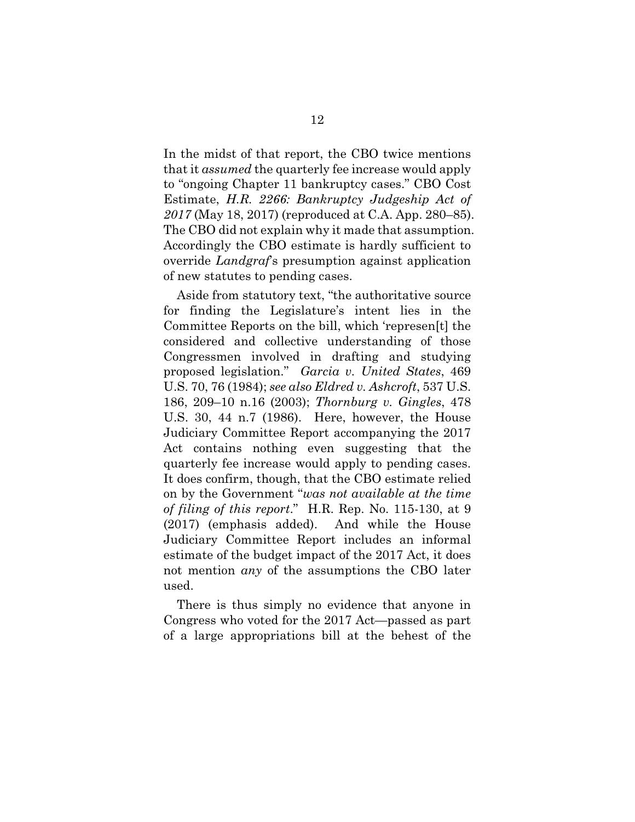In the midst of that report, the CBO twice mentions that it *assumed* the quarterly fee increase would apply to "ongoing Chapter 11 bankruptcy cases." CBO Cost Estimate, *H.R. 2266: Bankruptcy Judgeship Act of 2017* (May 18, 2017) (reproduced at C.A. App. 280–85). The CBO did not explain why it made that assumption. Accordingly the CBO estimate is hardly sufficient to override *Landgraf*'s presumption against application of new statutes to pending cases.

Aside from statutory text, "the authoritative source for finding the Legislature's intent lies in the Committee Reports on the bill, which 'represen[t] the considered and collective understanding of those Congressmen involved in drafting and studying proposed legislation." *Garcia v. United States*, 469 U.S. 70, 76 (1984); *see also Eldred v. Ashcroft*, 537 U.S. 186, 209–10 n.16 (2003); *Thornburg v. Gingles*, 478 U.S. 30, 44 n.7 (1986). Here, however, the House Judiciary Committee Report accompanying the 2017 Act contains nothing even suggesting that the quarterly fee increase would apply to pending cases. It does confirm, though, that the CBO estimate relied on by the Government "*was not available at the time of filing of this report*." H.R. Rep. No. 115-130, at 9 (2017) (emphasis added). And while the House Judiciary Committee Report includes an informal estimate of the budget impact of the 2017 Act, it does not mention *any* of the assumptions the CBO later used.

There is thus simply no evidence that anyone in Congress who voted for the 2017 Act—passed as part of a large appropriations bill at the behest of the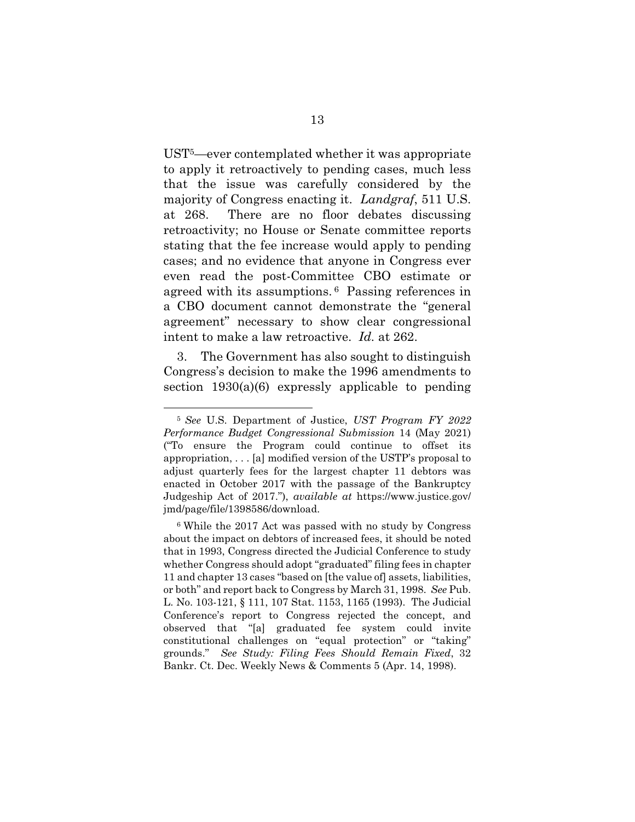UST5—ever contemplated whether it was appropriate to apply it retroactively to pending cases, much less that the issue was carefully considered by the majority of Congress enacting it. *Landgraf*, 511 U.S. at 268. There are no floor debates discussing retroactivity; no House or Senate committee reports stating that the fee increase would apply to pending cases; and no evidence that anyone in Congress ever even read the post-Committee CBO estimate or agreed with its assumptions. 6 Passing references in a CBO document cannot demonstrate the "general agreement" necessary to show clear congressional intent to make a law retroactive. *Id.* at 262.

3. The Government has also sought to distinguish Congress's decision to make the 1996 amendments to section  $1930(a)(6)$  expressly applicable to pending

<sup>5</sup> *See* U.S. Department of Justice, *UST Program FY 2022 Performance Budget Congressional Submission* 14 (May 2021) ("To ensure the Program could continue to offset its appropriation, . . . [a] modified version of the USTP's proposal to adjust quarterly fees for the largest chapter 11 debtors was enacted in October 2017 with the passage of the Bankruptcy Judgeship Act of 2017."), *available at* https://www.justice.gov/ jmd/page/file/1398586/download.

<sup>6</sup> While the 2017 Act was passed with no study by Congress about the impact on debtors of increased fees, it should be noted that in 1993, Congress directed the Judicial Conference to study whether Congress should adopt "graduated" filing fees in chapter 11 and chapter 13 cases "based on [the value of] assets, liabilities, or both" and report back to Congress by March 31, 1998. *See* Pub. L. No. 103-121, § 111, 107 Stat. 1153, 1165 (1993). The Judicial Conference's report to Congress rejected the concept, and observed that "[a] graduated fee system could invite constitutional challenges on "equal protection" or "taking" grounds." *See Study: Filing Fees Should Remain Fixed*, 32 Bankr. Ct. Dec. Weekly News & Comments 5 (Apr. 14, 1998).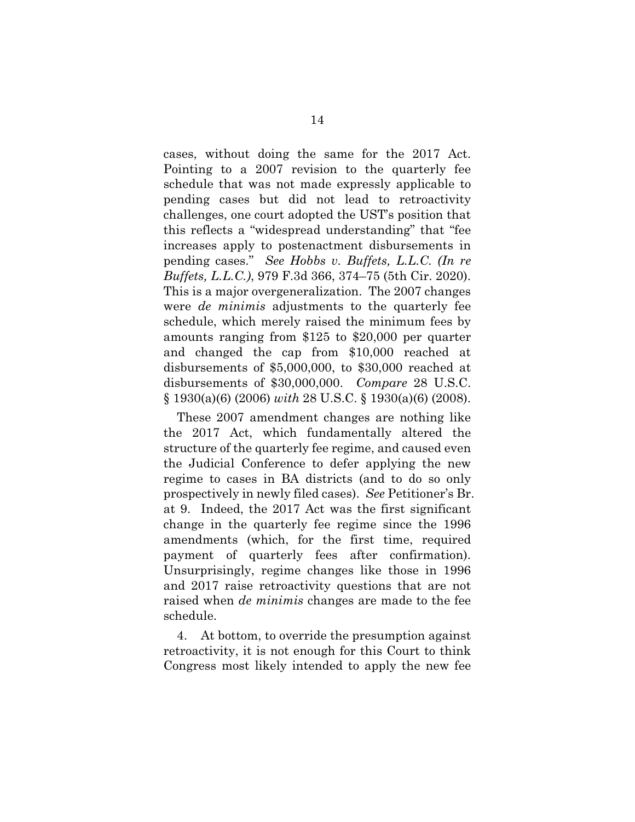cases, without doing the same for the 2017 Act. Pointing to a 2007 revision to the quarterly fee schedule that was not made expressly applicable to pending cases but did not lead to retroactivity challenges, one court adopted the UST's position that this reflects a "widespread understanding" that "fee increases apply to postenactment disbursements in pending cases." *See Hobbs v. Buffets, L.L.C. (In re Buffets, L.L.C.)*, 979 F.3d 366, 374–75 (5th Cir. 2020). This is a major overgeneralization. The 2007 changes were *de minimis* adjustments to the quarterly fee schedule, which merely raised the minimum fees by amounts ranging from \$125 to \$20,000 per quarter and changed the cap from \$10,000 reached at disbursements of \$5,000,000, to \$30,000 reached at disbursements of \$30,000,000. *Compare* 28 U.S.C. § 1930(a)(6) (2006) *with* 28 U.S.C. § 1930(a)(6) (2008).

These 2007 amendment changes are nothing like the 2017 Act, which fundamentally altered the structure of the quarterly fee regime, and caused even the Judicial Conference to defer applying the new regime to cases in BA districts (and to do so only prospectively in newly filed cases). *See* Petitioner's Br. at 9. Indeed, the 2017 Act was the first significant change in the quarterly fee regime since the 1996 amendments (which, for the first time, required payment of quarterly fees after confirmation). Unsurprisingly, regime changes like those in 1996 and 2017 raise retroactivity questions that are not raised when *de minimis* changes are made to the fee schedule.

4. At bottom, to override the presumption against retroactivity, it is not enough for this Court to think Congress most likely intended to apply the new fee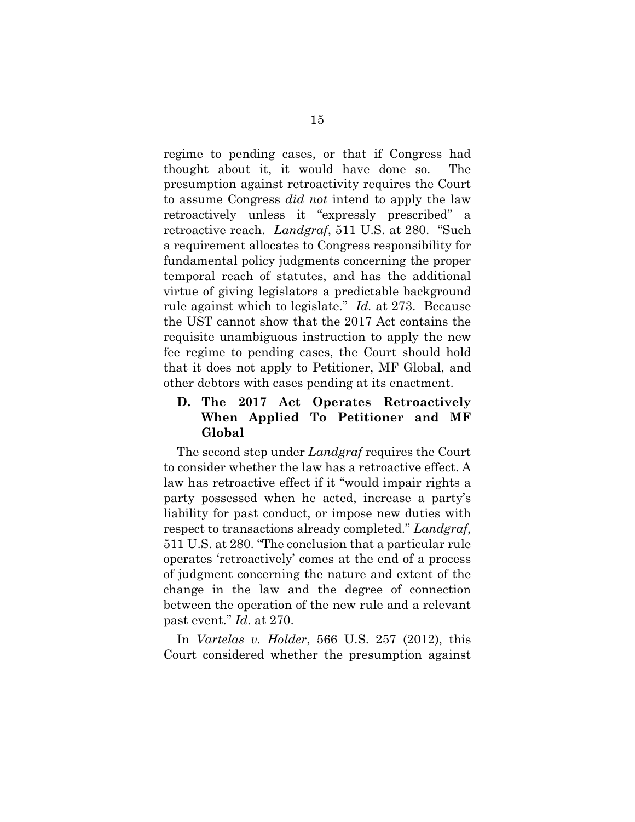regime to pending cases, or that if Congress had thought about it, it would have done so. The presumption against retroactivity requires the Court to assume Congress *did not* intend to apply the law retroactively unless it "expressly prescribed" a retroactive reach. *Landgraf*, 511 U.S. at 280. "Such a requirement allocates to Congress responsibility for fundamental policy judgments concerning the proper temporal reach of statutes, and has the additional virtue of giving legislators a predictable background rule against which to legislate." *Id.* at 273. Because the UST cannot show that the 2017 Act contains the requisite unambiguous instruction to apply the new fee regime to pending cases, the Court should hold that it does not apply to Petitioner, MF Global, and other debtors with cases pending at its enactment.

#### **D. The 2017 Act Operates Retroactively When Applied To Petitioner and MF Global**

The second step under *Landgraf* requires the Court to consider whether the law has a retroactive effect. A law has retroactive effect if it "would impair rights a party possessed when he acted, increase a party's liability for past conduct, or impose new duties with respect to transactions already completed." *Landgraf*, 511 U.S. at 280. "The conclusion that a particular rule operates 'retroactively' comes at the end of a process of judgment concerning the nature and extent of the change in the law and the degree of connection between the operation of the new rule and a relevant past event." *Id*. at 270.

In *Vartelas v. Holder*, 566 U.S. 257 (2012), this Court considered whether the presumption against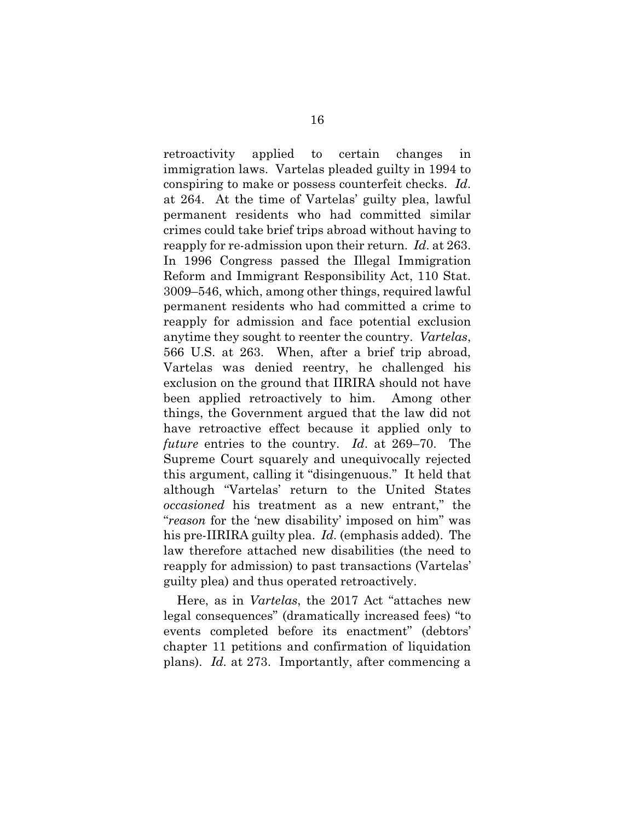retroactivity applied to certain changes in immigration laws. Vartelas pleaded guilty in 1994 to conspiring to make or possess counterfeit checks. *Id*. at 264. At the time of Vartelas' guilty plea, lawful permanent residents who had committed similar crimes could take brief trips abroad without having to reapply for re-admission upon their return. *Id*. at 263. In 1996 Congress passed the Illegal Immigration Reform and Immigrant Responsibility Act, 110 Stat. 3009–546, which, among other things, required lawful permanent residents who had committed a crime to reapply for admission and face potential exclusion anytime they sought to reenter the country. *Vartelas*, 566 U.S. at 263. When, after a brief trip abroad, Vartelas was denied reentry, he challenged his exclusion on the ground that IIRIRA should not have been applied retroactively to him. Among other things, the Government argued that the law did not have retroactive effect because it applied only to *future* entries to the country. *Id*. at 269–70. The Supreme Court squarely and unequivocally rejected this argument, calling it "disingenuous." It held that although "Vartelas' return to the United States *occasioned* his treatment as a new entrant," the "*reason* for the 'new disability' imposed on him" was his pre-IIRIRA guilty plea. *Id.* (emphasis added).The law therefore attached new disabilities (the need to reapply for admission) to past transactions (Vartelas' guilty plea) and thus operated retroactively.

Here, as in *Vartelas*, the 2017 Act "attaches new legal consequences" (dramatically increased fees) "to events completed before its enactment" (debtors' chapter 11 petitions and confirmation of liquidation plans). *Id.* at 273. Importantly, after commencing a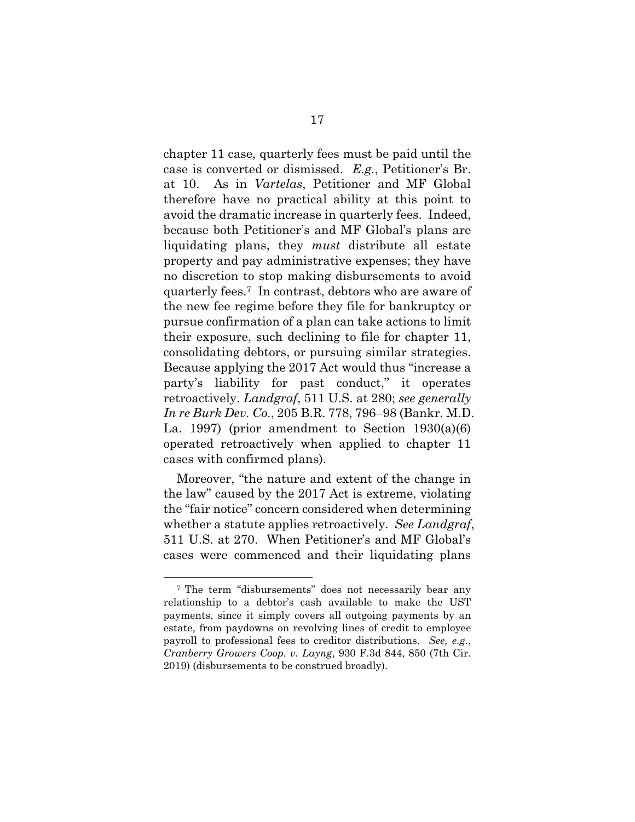chapter 11 case, quarterly fees must be paid until the case is converted or dismissed. *E.g.*, Petitioner's Br. at 10. As in *Vartelas*, Petitioner and MF Global therefore have no practical ability at this point to avoid the dramatic increase in quarterly fees. Indeed, because both Petitioner's and MF Global's plans are liquidating plans, they *must* distribute all estate property and pay administrative expenses; they have no discretion to stop making disbursements to avoid quarterly fees.7 In contrast, debtors who are aware of the new fee regime before they file for bankruptcy or pursue confirmation of a plan can take actions to limit their exposure, such declining to file for chapter 11, consolidating debtors, or pursuing similar strategies. Because applying the 2017 Act would thus "increase a party's liability for past conduct," it operates retroactively. *Landgraf*, 511 U.S. at 280; *see generally In re Burk Dev. Co.*, 205 B.R. 778, 796–98 (Bankr. M.D. La. 1997) (prior amendment to Section  $1930(a)(6)$ operated retroactively when applied to chapter 11 cases with confirmed plans).

Moreover, "the nature and extent of the change in the law" caused by the 2017 Act is extreme, violating the "fair notice" concern considered when determining whether a statute applies retroactively. *See Landgraf*, 511 U.S. at 270. When Petitioner's and MF Global's cases were commenced and their liquidating plans

<sup>7</sup> The term "disbursements" does not necessarily bear any relationship to a debtor's cash available to make the UST payments, since it simply covers all outgoing payments by an estate, from paydowns on revolving lines of credit to employee payroll to professional fees to creditor distributions. *See, e.g.*, *Cranberry Growers Coop. v. Layng*, 930 F.3d 844, 850 (7th Cir. 2019) (disbursements to be construed broadly).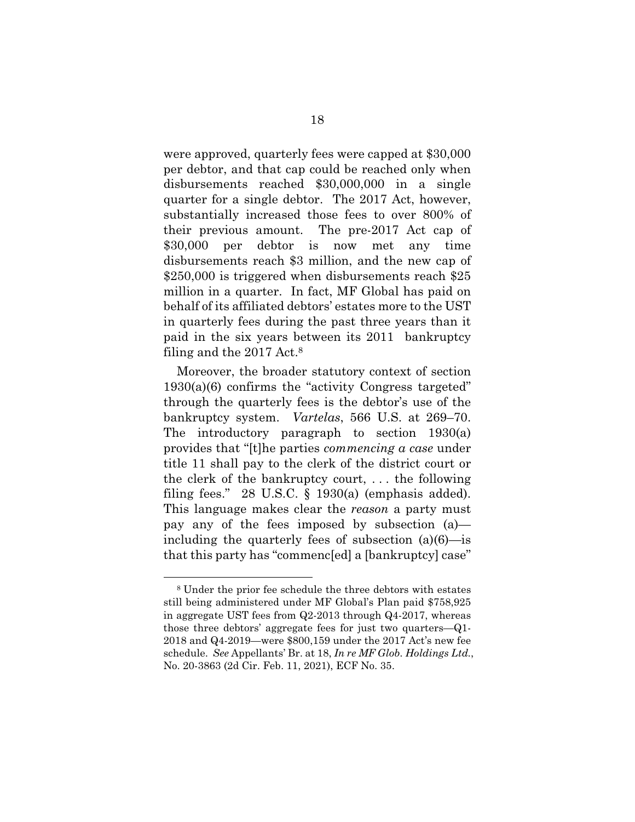were approved, quarterly fees were capped at \$30,000 per debtor, and that cap could be reached only when disbursements reached \$30,000,000 in a single quarter for a single debtor. The 2017 Act, however, substantially increased those fees to over 800% of their previous amount. The pre-2017 Act cap of \$30,000 per debtor is now met any time disbursements reach \$3 million, and the new cap of \$250,000 is triggered when disbursements reach \$25 million in a quarter. In fact, MF Global has paid on behalf of its affiliated debtors' estates more to the UST in quarterly fees during the past three years than it paid in the six years between its 2011 bankruptcy filing and the 2017 Act.8

Moreover, the broader statutory context of section  $1930(a)(6)$  confirms the "activity Congress targeted" through the quarterly fees is the debtor's use of the bankruptcy system. *Vartelas*, 566 U.S. at 269–70. The introductory paragraph to section 1930(a) provides that "[t]he parties *commencing a case* under title 11 shall pay to the clerk of the district court or the clerk of the bankruptcy court, . . . the following filing fees." 28 U.S.C.  $\S$  1930(a) (emphasis added). This language makes clear the *reason* a party must pay any of the fees imposed by subsection (a) including the quarterly fees of subsection (a)(6)—is that this party has "commenc[ed] a [bankruptcy] case"

<sup>8</sup> Under the prior fee schedule the three debtors with estates still being administered under MF Global's Plan paid \$758,925 in aggregate UST fees from Q2-2013 through Q4-2017, whereas those three debtors' aggregate fees for just two quarters—Q1- 2018 and Q4-2019—were \$800,159 under the 2017 Act's new fee schedule. *See* Appellants' Br. at 18, *In re MF Glob. Holdings Ltd.*, No. 20-3863 (2d Cir. Feb. 11, 2021), ECF No. 35.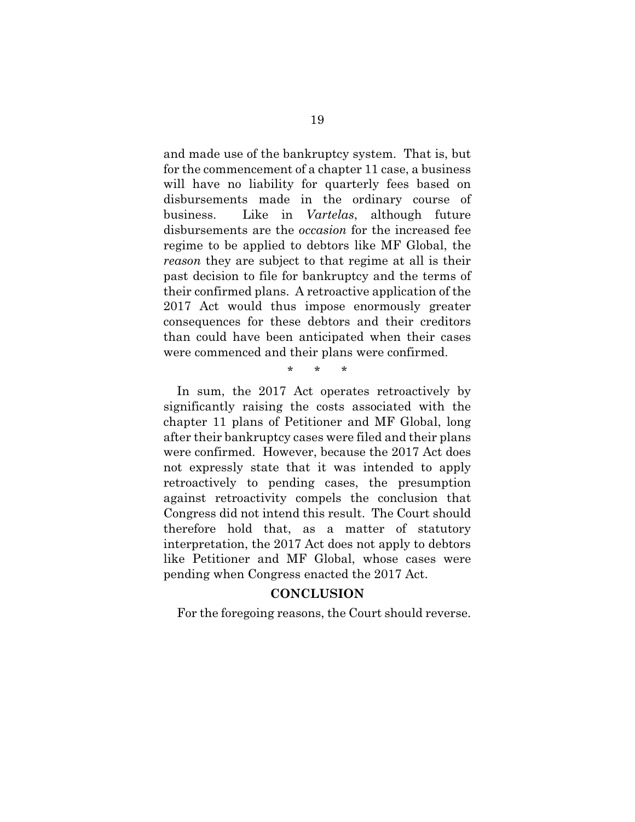and made use of the bankruptcy system. That is, but for the commencement of a chapter 11 case, a business will have no liability for quarterly fees based on disbursements made in the ordinary course of business. Like in *Vartelas*, although future disbursements are the *occasion* for the increased fee regime to be applied to debtors like MF Global, the *reason* they are subject to that regime at all is their past decision to file for bankruptcy and the terms of their confirmed plans. A retroactive application of the 2017 Act would thus impose enormously greater consequences for these debtors and their creditors than could have been anticipated when their cases were commenced and their plans were confirmed.

\* \* \*

In sum, the 2017 Act operates retroactively by significantly raising the costs associated with the chapter 11 plans of Petitioner and MF Global, long after their bankruptcy cases were filed and their plans were confirmed. However, because the 2017 Act does not expressly state that it was intended to apply retroactively to pending cases, the presumption against retroactivity compels the conclusion that Congress did not intend this result. The Court should therefore hold that, as a matter of statutory interpretation, the 2017 Act does not apply to debtors like Petitioner and MF Global, whose cases were pending when Congress enacted the 2017 Act.

#### **CONCLUSION**

For the foregoing reasons, the Court should reverse.